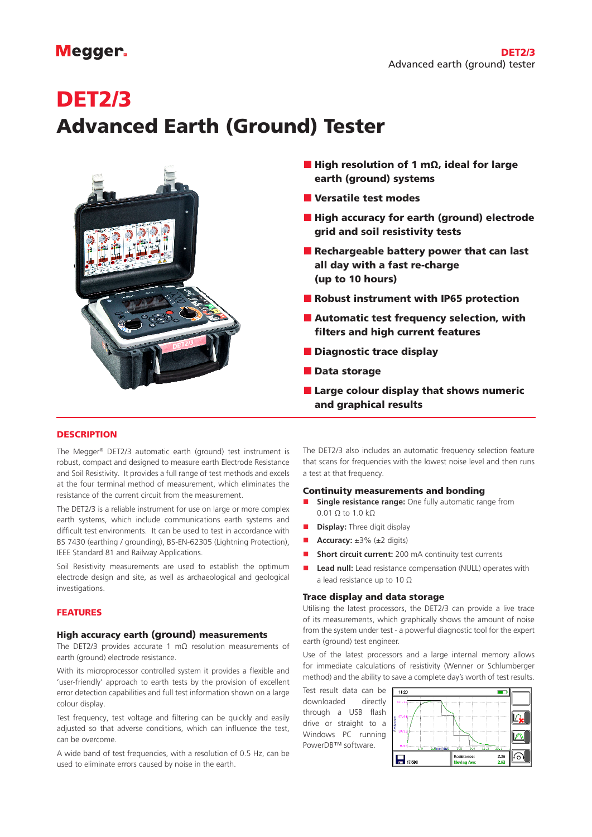# **Megger**

# DET2/3 Advanced Earth (Ground) Tester



- $\blacksquare$  High resolution of 1 mΩ, ideal for large earth (ground) systems
- **N** Versatile test modes
- **High accuracy for earth (ground) electrode** grid and soil resistivity tests
- Rechargeable battery power that can last all day with a fast re-charge (up to 10 hours)
- Robust instrument with IP65 protection
- **Automatic test frequency selection, with** filters and high current features
- **Diagnostic trace display**
- **Data storage**
- **Large colour display that shows numeric** and graphical results

# **DESCRIPTION**

The Megger® DET2/3 automatic earth (ground) test instrument is robust, compact and designed to measure earth Electrode Resistance and Soil Resistivity. It provides a full range of test methods and excels at the four terminal method of measurement, which eliminates the resistance of the current circuit from the measurement.

The DET2/3 is a reliable instrument for use on large or more complex earth systems, which include communications earth systems and difficult test environments. It can be used to test in accordance with BS 7430 (earthing / grounding), BS-EN-62305 (Lightning Protection), IEEE Standard 81 and Railway Applications.

Soil Resistivity measurements are used to establish the optimum electrode design and site, as well as archaeological and geological investigations.

#### FEATURES

#### High accuracy earth (ground) measurements

The DET2/3 provides accurate 1 mΩ resolution measurements of earth (ground) electrode resistance.

With its microprocessor controlled system it provides a flexible and 'user-friendly' approach to earth tests by the provision of excellent error detection capabilities and full test information shown on a large colour display.

Test frequency, test voltage and filtering can be quickly and easily adjusted so that adverse conditions, which can influence the test, can be overcome.

A wide band of test frequencies, with a resolution of 0.5 Hz, can be used to eliminate errors caused by noise in the earth.

The DET2/3 also includes an automatic frequency selection feature that scans for frequencies with the lowest noise level and then runs a test at that frequency.

#### Continuity measurements and bonding

- **Single resistance range:** One fully automatic range from 0.01 Ω to 1.0 kΩ
- **n Display:** Three digit display
- **Accuracy:** ±3% (±2 digits)
- **n** Short circuit current: 200 mA continuity test currents
- **Lead null:** Lead resistance compensation (NULL) operates with a lead resistance up to 10 Ω

## Trace display and data storage

Utilising the latest processors, the DET2/3 can provide a live trace of its measurements, which graphically shows the amount of noise from the system under test - a powerful diagnostic tool for the expert earth (ground) test engineer.

Use of the latest processors and a large internal memory allows for immediate calculations of resistivity (Wenner or Schlumberger method) and the ability to save a complete day's worth of test results.

Test result data can be downloaded directly through a USB flash drive or straight to a Windows PC running PowerDB™ software.

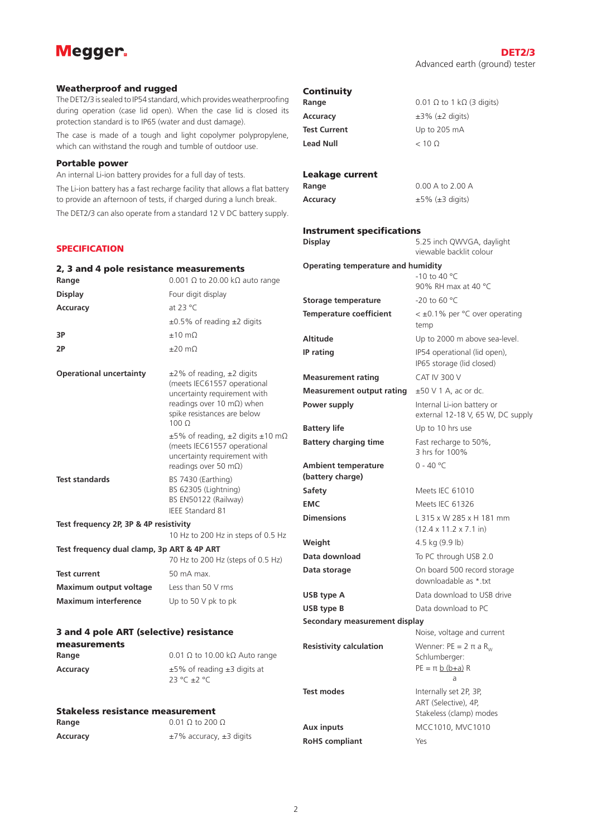# **Megger**

#### Weatherproof and rugged

The DET2/3 is sealed to IP54 standard, which provides weatherproofing during operation (case lid open). When the case lid is closed its protection standard is to IP65 (water and dust damage).

The case is made of a tough and light copolymer polypropylene, which can withstand the rough and tumble of outdoor use.

#### Portable power

An internal Li-ion battery provides for a full day of tests.

The Li-ion battery has a fast recharge facility that allows a flat battery to provide an afternoon of tests, if charged during a lunch break. The DET2/3 can also operate from a standard 12 V DC battery supply.

## **SPECIFICATION**

| SPECIFICATION                                                     |                                                                                                                         |                                                | viewable backlit colour                                                |  |  |  |
|-------------------------------------------------------------------|-------------------------------------------------------------------------------------------------------------------------|------------------------------------------------|------------------------------------------------------------------------|--|--|--|
| 2, 3 and 4 pole resistance measurements                           |                                                                                                                         | <b>Operating temperature and humidity</b>      |                                                                        |  |  |  |
| Range                                                             | 0.001 $\Omega$ to 20.00 k $\Omega$ auto range                                                                           |                                                | $-10$ to 40 °C<br>90% RH max at 40 °C                                  |  |  |  |
| <b>Display</b>                                                    | Four digit display                                                                                                      |                                                | -20 to 60 °C                                                           |  |  |  |
| Accuracy                                                          | at 23 °C                                                                                                                | Storage temperature                            |                                                                        |  |  |  |
|                                                                   | $\pm 0.5\%$ of reading $\pm 2$ digits                                                                                   | <b>Temperature coefficient</b>                 | $<$ ±0.1% per °C over operating<br>temp                                |  |  |  |
| 3P                                                                | $±10$ mΩ                                                                                                                | <b>Altitude</b>                                | Up to 2000 m above sea-level.                                          |  |  |  |
| 2Р                                                                | $\pm 20$ m $\Omega$                                                                                                     | IP rating                                      | IP54 operational (lid open),<br>IP65 storage (lid closed)              |  |  |  |
| <b>Operational uncertainty</b>                                    | $\pm$ 2% of reading, $\pm$ 2 digits                                                                                     | <b>Measurement rating</b>                      | CAT IV 300 V                                                           |  |  |  |
|                                                                   | (meets IEC61557 operational<br>uncertainty requirement with                                                             | <b>Measurement output rating</b>               | $\pm 50$ V 1 A, ac or dc.                                              |  |  |  |
|                                                                   | readings over 10 m $\Omega$ ) when<br>spike resistances are below                                                       | Power supply                                   | Internal Li-ion battery or<br>external 12-18 V, 65 W, DC supply        |  |  |  |
|                                                                   | $100 \Omega$                                                                                                            | <b>Battery life</b>                            | Up to 10 hrs use                                                       |  |  |  |
|                                                                   | $\pm 5\%$ of reading, $\pm 2$ digits $\pm 10$ m $\Omega$<br>(meets IEC61557 operational<br>uncertainty requirement with | <b>Battery charging time</b>                   | Fast recharge to 50%,<br>3 hrs for 100%                                |  |  |  |
| <b>Test standards</b>                                             | readings over 50 m $\Omega$ )<br>BS 7430 (Earthing)                                                                     | <b>Ambient temperature</b><br>(battery charge) | $0 - 40 °C$                                                            |  |  |  |
|                                                                   | BS 62305 (Lightning)                                                                                                    | Safety                                         | Meets IEC 61010                                                        |  |  |  |
|                                                                   | BS EN50122 (Railway)                                                                                                    | <b>EMC</b>                                     | Meets IEC 61326                                                        |  |  |  |
| <b>IEEE Standard 81</b><br>Test frequency 2P, 3P & 4P resistivity |                                                                                                                         | <b>Dimensions</b>                              | L 315 x W 285 x H 181 mm<br>$(12.4 \times 11.2 \times 7.1 \text{ in})$ |  |  |  |
|                                                                   | 10 Hz to 200 Hz in steps of 0.5 Hz                                                                                      | Weight                                         | 4.5 kg $(9.9 \text{ lb})$                                              |  |  |  |
| Test frequency dual clamp, 3p ART & 4P ART                        | 70 Hz to 200 Hz (steps of 0.5 Hz)                                                                                       | Data download                                  | To PC through USB 2.0                                                  |  |  |  |
| <b>Test current</b>                                               | 50 mA max.                                                                                                              | Data storage                                   | On board 500 record storage<br>downloadable as *.txt                   |  |  |  |
| <b>Maximum output voltage</b>                                     | Less than 50 V rms                                                                                                      | USB type A                                     | Data download to USB drive                                             |  |  |  |
| <b>Maximum interference</b>                                       | Up to 50 V pk to pk                                                                                                     | USB type B                                     | Data download to PC                                                    |  |  |  |
|                                                                   |                                                                                                                         | Secondary measurement display                  |                                                                        |  |  |  |
| 3 and 4 pole ART (selective) resistance                           |                                                                                                                         |                                                | Noise, voltage and current                                             |  |  |  |
| measurements<br>Range                                             | 0.01 $\Omega$ to 10.00 k $\Omega$ Auto range                                                                            | <b>Resistivity calculation</b>                 | Wenner: $PE = 2 \pi a R_{av}$<br>Schlumberger:                         |  |  |  |
| Accuracy                                                          | $\pm 5\%$ of reading $\pm 3$ digits at<br>23 °C ±2 °C                                                                   |                                                | $PE = \pi b (b+a) R$<br>a                                              |  |  |  |
|                                                                   |                                                                                                                         | <b>Test modes</b>                              | Internally set 2P, 3P,<br>ART (Selective), 4P,                         |  |  |  |
| <b>Stakeless resistance measurement</b><br>Range                  | $0.01 \Omega$ to 200 $\Omega$                                                                                           |                                                | Stakeless (clamp) modes                                                |  |  |  |
| <b>Accuracy</b>                                                   | $\pm$ 7% accuracy, $\pm$ 3 digits                                                                                       | Aux inputs                                     | MCC1010, MVC1010                                                       |  |  |  |
|                                                                   |                                                                                                                         | <b>RoHS</b> compliant                          | Yes                                                                    |  |  |  |

**Continuity** 

Leakage current

Instrument specifications

**Range** 0.01 Ω to 1 kΩ (3 digits)

**Accuracy** ±3% (±2 digits) **Test Current** Up to 205 mA **Lead Null** < 10 Ω

**Range** 0.00 A to 2.00 A **Accuracy** ±5% (±3 digits)

**Display** 5.25 inch QWVGA, daylight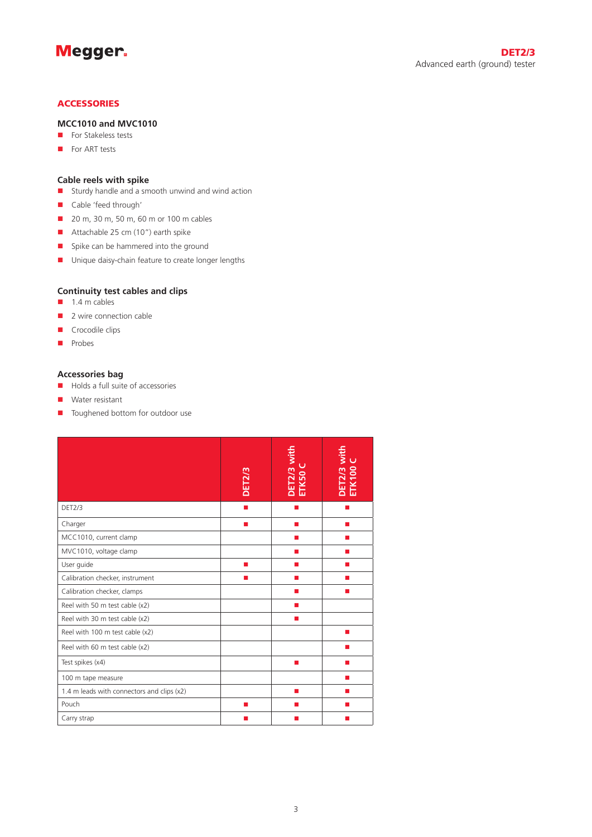

# **ACCESSORIES**

# **MCC1010 and MVC1010**

- $\blacksquare$  For Stakeless tests
- $\blacksquare$  For ART tests

# **Cable reels with spike**

- $\blacksquare$  Sturdy handle and a smooth unwind and wind action
- Cable 'feed through'
- **n** 20 m, 30 m, 50 m, 60 m or 100 m cables
- Attachable 25 cm  $(10")$  earth spike
- **n** Spike can be hammered into the ground
- **n** Unique daisy-chain feature to create longer lengths

# **Continuity test cables and clips**

- $\blacksquare$  1.4 m cables
- $\blacksquare$  2 wire connection cable
- $\blacksquare$  Crocodile clips
- **n** Probes

# **Accessories bag**

- $\blacksquare$  Holds a full suite of accessories
- $\blacksquare$  Water resistant
- Toughened bottom for outdoor use

|                                            | <b>DET2/3</b> | DET2/3 with<br>ETK50 C | DET2/3 with<br>ETK100 C |
|--------------------------------------------|---------------|------------------------|-------------------------|
| DET2/3                                     |               |                        |                         |
| Charger                                    | <b>COL</b>    | ш                      | ш                       |
| MCC1010, current clamp                     |               | ш                      | ш                       |
| MVC1010, voltage clamp                     |               |                        |                         |
| User guide                                 |               |                        |                         |
| Calibration checker, instrument            | ▬             | ш                      | ш                       |
| Calibration checker, clamps                |               |                        |                         |
| Reel with 50 m test cable (x2)             |               | п                      |                         |
| Reel with 30 m test cable (x2)             |               |                        |                         |
| Reel with 100 m test cable (x2)            |               |                        |                         |
| Reel with 60 m test cable (x2)             |               |                        |                         |
| Test spikes (x4)                           |               |                        |                         |
| 100 m tape measure                         |               |                        |                         |
| 1.4 m leads with connectors and clips (x2) |               | ш                      | ш                       |
| Pouch                                      | п             |                        |                         |
| Carry strap                                |               |                        |                         |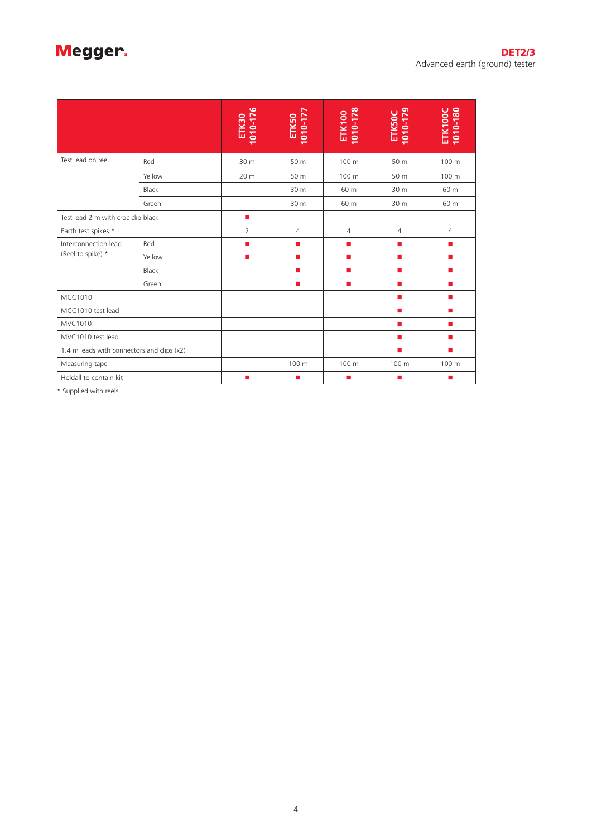# Megger.

|                                            |              | 1010-176<br><b>ETK30</b> | ETK50<br>1010-177 | ETK100<br>1010-178 | ETK50C<br>1010-179 | ETK100C<br>1010-180 |
|--------------------------------------------|--------------|--------------------------|-------------------|--------------------|--------------------|---------------------|
| Test lead on reel                          | Red          | 30 m                     | 50 m              | 100 m              | 50 m               | 100 m               |
|                                            | Yellow       | 20 m                     | 50 m              | 100 m              | 50 m               | 100 m               |
|                                            | <b>Black</b> |                          | 30 m              | 60 m               | 30 m               | 60 m                |
|                                            | Green        |                          | 30 m              | 60 m               | 30 m               | 60 m                |
| Test lead 2 m with croc clip black         |              | п                        |                   |                    |                    |                     |
| Earth test spikes *                        |              | 2                        | $\overline{4}$    | $\overline{4}$     | $\overline{4}$     | $\overline{4}$      |
| Interconnection lead                       | Red          | п                        | ٠                 | $\blacksquare$     | п                  | $\blacksquare$      |
| (Reel to spike) *                          | Yellow       | п                        | ш                 | п                  | ш                  | п                   |
|                                            | Black        |                          | ш                 | <b>COL</b>         | <b>The State</b>   | п                   |
|                                            | Green        |                          | п                 | п                  | <b>The State</b>   | п                   |
| <b>MCC1010</b>                             |              |                          |                   |                    | $\mathbf{r}$       | п                   |
| MCC1010 test lead                          |              |                          |                   |                    | ш                  | п                   |
| MVC1010                                    |              |                          |                   |                    | ш                  | п                   |
| MVC1010 test lead                          |              |                          |                   |                    | п                  | $\blacksquare$      |
| 1.4 m leads with connectors and clips (x2) |              |                          |                   |                    | ш                  | ш                   |
| Measuring tape                             |              |                          | 100 m             | 100 m              | 100 m              | 100 m               |
| Holdall to contain kit                     |              | ш                        | ш                 | п                  | ш                  | ш                   |

\* Supplied with reels